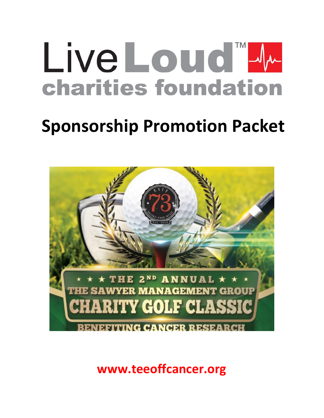# Live Louid M **charities foundation**

# **Sponsorship Promotion Packet**



**www.teeoffcancer.org**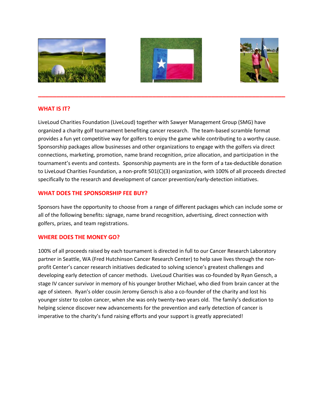





#### **WHAT IS IT?**

LiveLoud Charities Foundation (LiveLoud) together with Sawyer Management Group (SMG) have organized a charity golf tournament benefiting cancer research. The team-based scramble format provides a fun yet competitive way for golfers to enjoy the game while contributing to a worthy cause. Sponsorship packages allow businesses and other organizations to engage with the golfers via direct connections, marketing, promotion, name brand recognition, prize allocation, and participation in the tournament's events and contests. Sponsorship payments are in the form of a tax-deductible donation to LiveLoud Charities Foundation, a non-profit 501(C)(3) organization, with 100% of all proceeds directed specifically to the research and development of cancer prevention/early-detection initiatives.

**\_\_\_\_\_\_\_\_\_\_\_\_\_\_\_\_\_\_\_\_\_\_\_\_\_\_\_\_\_\_\_\_\_\_\_\_\_\_\_\_\_\_\_\_\_\_\_\_\_\_\_\_\_\_\_\_\_\_\_\_\_\_\_\_\_\_\_** 

#### **WHAT DOES THE SPONSORSHIP FEE BUY?**

Sponsors have the opportunity to choose from a range of different packages which can include some or all of the following benefits: signage, name brand recognition, advertising, direct connection with golfers, prizes, and team registrations.

#### **WHERE DOES THE MONEY GO?**

100% of all proceeds raised by each tournament is directed in full to our Cancer Research Laboratory partner in Seattle, WA (Fred Hutchinson Cancer Research Center) to help save lives through the nonprofit Center's cancer research initiatives dedicated to solving science's greatest challenges and developing early detection of cancer methods. LiveLoud Charities was co-founded by Ryan Gensch, a stage IV cancer survivor in memory of his younger brother Michael, who died from brain cancer at the age of sixteen. Ryan's older cousin Jeromy Gensch is also a co-founder of the charity and lost his younger sister to colon cancer, when she was only twenty-two years old. The family's dedication to helping science discover new advancements for the prevention and early detection of cancer is imperative to the charity's fund raising efforts and your support is greatly appreciated!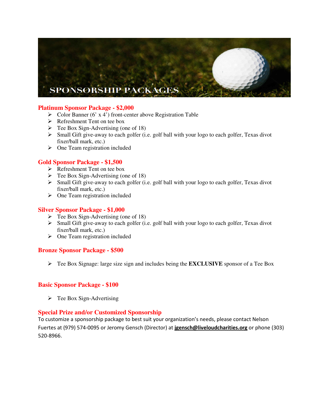## **SPONSORSHIP PACKAGES**

#### **Platinum Sponsor Package - \$2,000**

- $\triangleright$  Color Banner (6' x 4') front-center above Registration Table
- Refreshment Tent on tee box
- $\triangleright$  Tee Box Sign-Advertising (one of 18)
- $\triangleright$  Small Gift give-away to each golfer (i.e. golf ball with your logo to each golfer, Texas divot fixer/ball mark, etc.)
- > One Team registration included

#### **Gold Sponsor Package - \$1,500**

- $\triangleright$  Refreshment Tent on tee box
- $\triangleright$  Tee Box Sign-Advertising (one of 18)
- $\triangleright$  Small Gift give-away to each golfer (i.e. golf ball with your logo to each golfer, Texas divot fixer/ball mark, etc.)
- $\triangleright$  One Team registration included

#### **Silver Sponsor Package - \$1,000**

- $\triangleright$  Tee Box Sign-Advertising (one of 18)
- $\triangleright$  Small Gift give-away to each golfer (i.e. golf ball with your logo to each golfer, Texas divot fixer/ball mark, etc.)
- $\triangleright$  One Team registration included

#### **Bronze Sponsor Package - \$500**

Tee Box Signage: large size sign and includes being the **EXCLUSIVE** sponsor of a Tee Box

#### **Basic Sponsor Package - \$100**

 $\triangleright$  Tee Box Sign-Advertising

#### **Special Prize and/or Customized Sponsorship**

To customize a sponsorship package to best suit your organization's needs, please contact Nelson Fuertes at (979) 574-0095 or Jeromy Gensch (Director) at **jgensch@liveloudcharities.org** or phone (303) 520-8966.